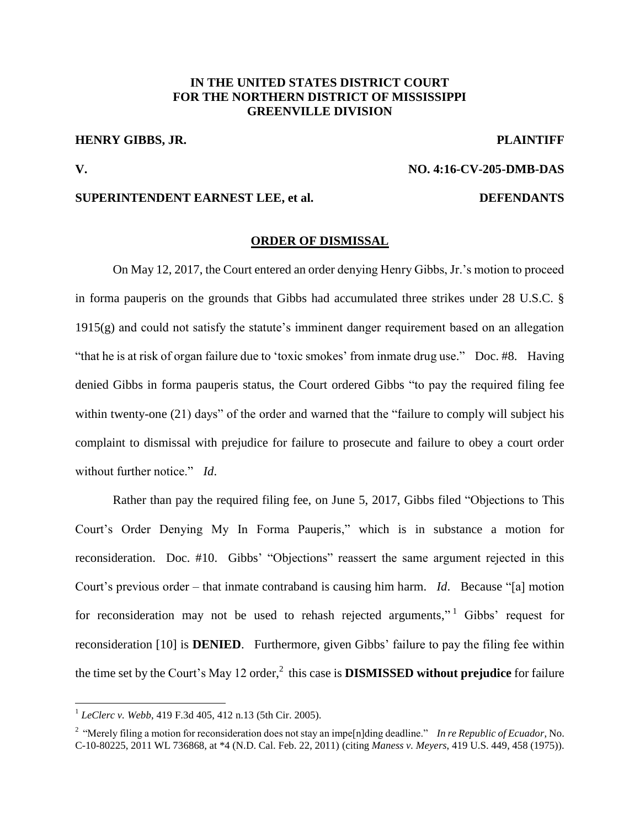# **IN THE UNITED STATES DISTRICT COURT FOR THE NORTHERN DISTRICT OF MISSISSIPPI GREENVILLE DIVISION**

# **HENRY GIBBS, JR. PLAINTIFF**

 $\overline{a}$ 

### **V. NO. 4:16-CV-205-DMB-DAS**

## **SUPERINTENDENT EARNEST LEE, et al. DEFENDANTS**

#### **ORDER OF DISMISSAL**

On May 12, 2017, the Court entered an order denying Henry Gibbs, Jr.'s motion to proceed in forma pauperis on the grounds that Gibbs had accumulated three strikes under 28 U.S.C. § 1915(g) and could not satisfy the statute's imminent danger requirement based on an allegation "that he is at risk of organ failure due to 'toxic smokes' from inmate drug use." Doc. #8. Having denied Gibbs in forma pauperis status, the Court ordered Gibbs "to pay the required filing fee within twenty-one (21) days" of the order and warned that the "failure to comply will subject his complaint to dismissal with prejudice for failure to prosecute and failure to obey a court order without further notice." *Id*.

Rather than pay the required filing fee, on June 5, 2017, Gibbs filed "Objections to This Court's Order Denying My In Forma Pauperis," which is in substance a motion for reconsideration. Doc. #10. Gibbs' "Objections" reassert the same argument rejected in this Court's previous order – that inmate contraband is causing him harm. *Id*. Because "[a] motion for reconsideration may not be used to rehash rejected arguments,"<sup>1</sup> Gibbs' request for reconsideration [10] is **DENIED**. Furthermore, given Gibbs' failure to pay the filing fee within the time set by the Court's May 12 order, 2 this case is **DISMISSED without prejudice** for failure

<sup>1</sup> *LeClerc v. Webb*, 419 F.3d 405, 412 n.13 (5th Cir. 2005).

<sup>&</sup>lt;sup>2</sup> "Merely filing a motion for reconsideration does not stay an impe<sup>[n]</sup>ding deadline." *In re Republic of Ecuador*, No. C-10-80225, 2011 WL 736868, at \*4 (N.D. Cal. Feb. 22, 2011) (citing *Maness v. Meyers*, 419 U.S. 449, 458 (1975)).